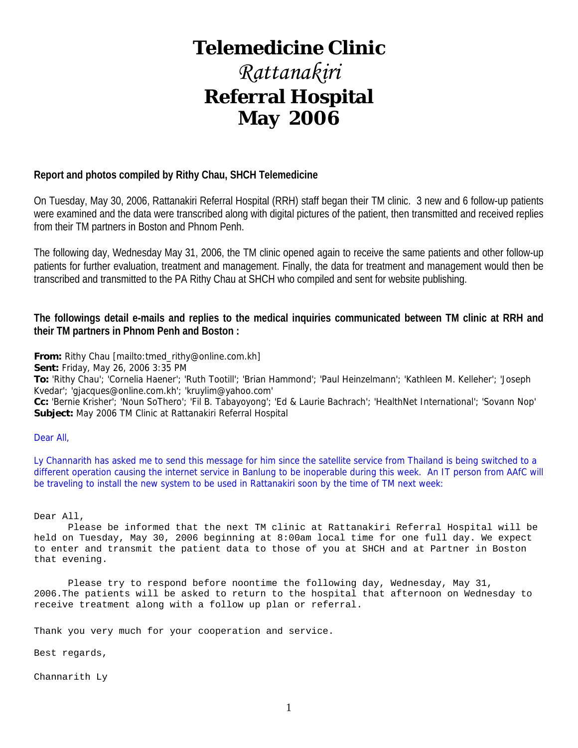# **Telemedicine Clinic**

# *Rattanakiri*  **Referral Hospital May 2006**

#### **Report and photos compiled by Rithy Chau, SHCH Telemedicine**

On Tuesday, May 30, 2006, Rattanakiri Referral Hospital (RRH) staff began their TM clinic. 3 new and 6 follow-up patients were examined and the data were transcribed along with digital pictures of the patient, then transmitted and received replies from their TM partners in Boston and Phnom Penh.

The following day, Wednesday May 31, 2006, the TM clinic opened again to receive the same patients and other follow-up patients for further evaluation, treatment and management. Finally, the data for treatment and management would then be transcribed and transmitted to the PA Rithy Chau at SHCH who compiled and sent for website publishing.

**The followings detail e-mails and replies to the medical inquiries communicated between TM clinic at RRH and their TM partners in Phnom Penh and Boston :** 

**From:** Rithy Chau [mailto:tmed\_rithy@online.com.kh]

**Sent:** Friday, May 26, 2006 3:35 PM

**To:** 'Rithy Chau'; 'Cornelia Haener'; 'Ruth Tootill'; 'Brian Hammond'; 'Paul Heinzelmann'; 'Kathleen M. Kelleher'; 'Joseph Kvedar'; 'gjacques@online.com.kh'; 'kruylim@yahoo.com'

**Cc:** 'Bernie Krisher'; 'Noun SoThero'; 'Fil B. Tabayoyong'; 'Ed & Laurie Bachrach'; 'HealthNet International'; 'Sovann Nop' **Subject:** May 2006 TM Clinic at Rattanakiri Referral Hospital

#### Dear All,

Ly Channarith has asked me to send this message for him since the satellite service from Thailand is being switched to a different operation causing the internet service in Banlung to be inoperable during this week. An IT person from AAfC will be traveling to install the new system to be used in Rattanakiri soon by the time of TM next week:

Dear All,

 Please be informed that the next TM clinic at Rattanakiri Referral Hospital will be held on Tuesday, May 30, 2006 beginning at 8:00am local time for one full day. We expect to enter and transmit the patient data to those of you at SHCH and at Partner in Boston that evening.

 Please try to respond before noontime the following day, Wednesday, May 31, 2006.The patients will be asked to return to the hospital that afternoon on Wednesday to receive treatment along with a follow up plan or referral.

Thank you very much for your cooperation and service.

Best regards,

Channarith Ly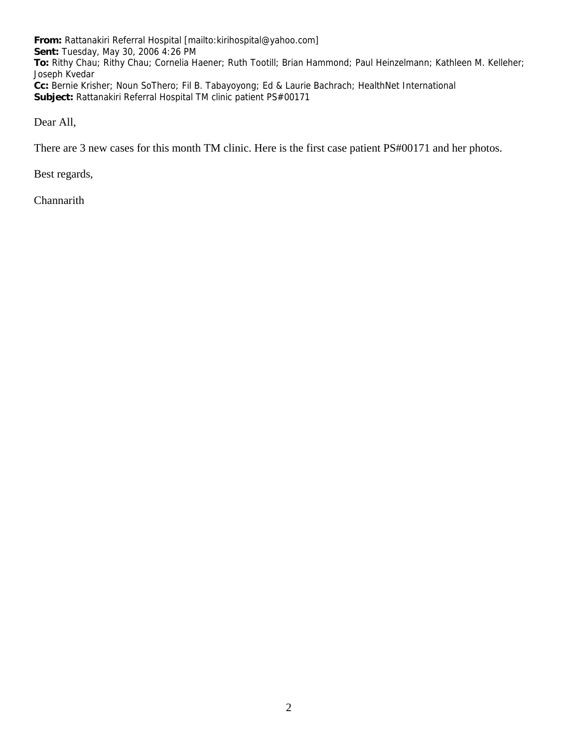**From:** Rattanakiri Referral Hospital [mailto:kirihospital@yahoo.com] **Sent:** Tuesday, May 30, 2006 4:26 PM **To:** Rithy Chau; Rithy Chau; Cornelia Haener; Ruth Tootill; Brian Hammond; Paul Heinzelmann; Kathleen M. Kelleher; Joseph Kvedar **Cc:** Bernie Krisher; Noun SoThero; Fil B. Tabayoyong; Ed & Laurie Bachrach; HealthNet International **Subject:** Rattanakiri Referral Hospital TM clinic patient PS#00171

Dear All,

There are 3 new cases for this month TM clinic. Here is the first case patient PS#00171 and her photos.

Best regards,

**Channarith**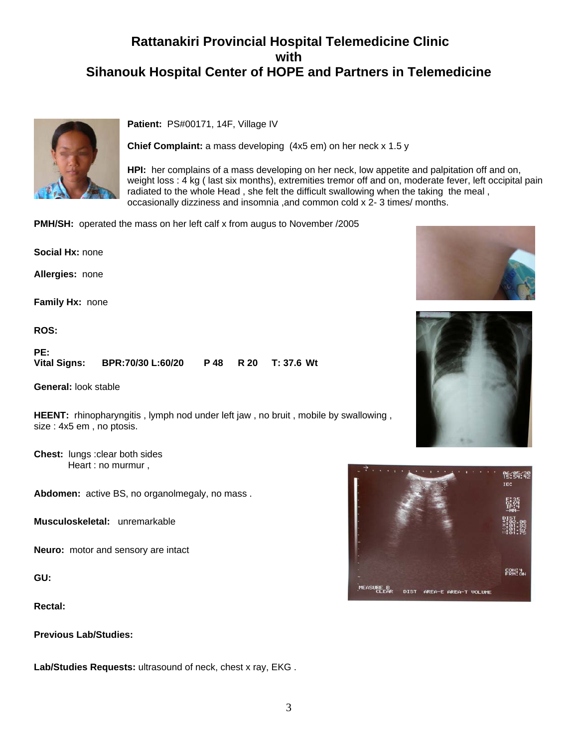## **Rattanakiri Provincial Hospital Telemedicine Clinic with Sihanouk Hospital Center of HOPE and Partners in Telemedicine**



Patient: PS#00171, 14F, Village IV

**Chief Complaint:** a mass developing (4x5 em) on her neck x 1.5 y

**HPI:** her complains of a mass developing on her neck, low appetite and palpitation off and on, weight loss : 4 kg ( last six months), extremities tremor off and on, moderate fever, left occipital pain radiated to the whole Head , she felt the difficult swallowing when the taking the meal , occasionally dizziness and insomnia ,and common cold x 2- 3 times/ months.

**PMH/SH:** operated the mass on her left calf x from augus to November /2005

**Social Hx:** none

**Allergies:** none

**Family Hx:** none

**ROS:**

**PE: Vital Signs: BPR:70/30 L:60/20 P 48 R 20 T: 37.6 Wt**

**General:** look stable

**HEENT:** rhinopharyngitis , lymph nod under left jaw , no bruit , mobile by swallowing , size : 4x5 em , no ptosis.

**Chest:** lungs :clear both sides Heart : no murmur ,

**Abdomen:** active BS, no organolmegaly, no mass .

**Musculoskeletal:** unremarkable

**Neuro:** motor and sensory are intact

**GU:**

**Rectal:**

**Previous Lab/Studies:**

**Lab/Studies Requests:** ultrasound of neck, chest x ray, EKG .





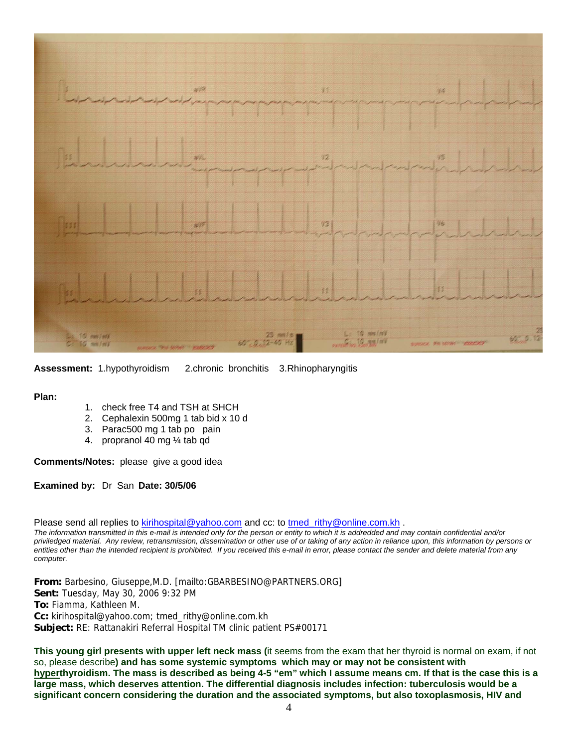

**Assessment:** 1.hypothyroidism 2.chronic bronchitis 3.Rhinopharyngitis

**Plan:**

- 1. check free T4 and TSH at SHCH
- 2. Cephalexin 500mg 1 tab bid x 10 d
- 3. Parac500 mg 1 tab po pain
- 4. propranol 40 mg ¼ tab qd

**Comments/Notes:** please give a good idea

**Examined by:** Dr San **Date: 30/5/06**

Please send all replies to [kirihospital@yahoo.com](mailto:kirihospital@yahoo.com) and cc: to [tmed\\_rithy@online.com.kh](mailto:tmed_rithy@bigpond.com.kh) .

*The information transmitted in this e-mail is intended only for the person or entity to which it is addredded and may contain confidential and/or priviledged material. Any review, retransmission, dissemination or other use of or taking of any action in reliance upon, this information by persons or entities other than the intended recipient is prohibited. If you received this e-mail in error, please contact the sender and delete material from any computer.*

**From:** Barbesino, Giuseppe,M.D. [mailto:GBARBESINO@PARTNERS.ORG] **Sent:** Tuesday, May 30, 2006 9:32 PM **To:** Fiamma, Kathleen M. **Cc:** kirihospital@yahoo.com; tmed\_rithy@online.com.kh **Subject:** RE: Rattanakiri Referral Hospital TM clinic patient PS#00171

**This young girl presents with upper left neck mass (**it seems from the exam that her thyroid is normal on exam, if not so, please describe**) and has some systemic symptoms which may or may not be consistent with hyperthyroidism. The mass is described as being 4-5 "em" which I assume means cm. If that is the case this is a large mass, which deserves attention. The differential diagnosis includes infection: tuberculosis would be a significant concern considering the duration and the associated symptoms, but also toxoplasmosis, HIV and**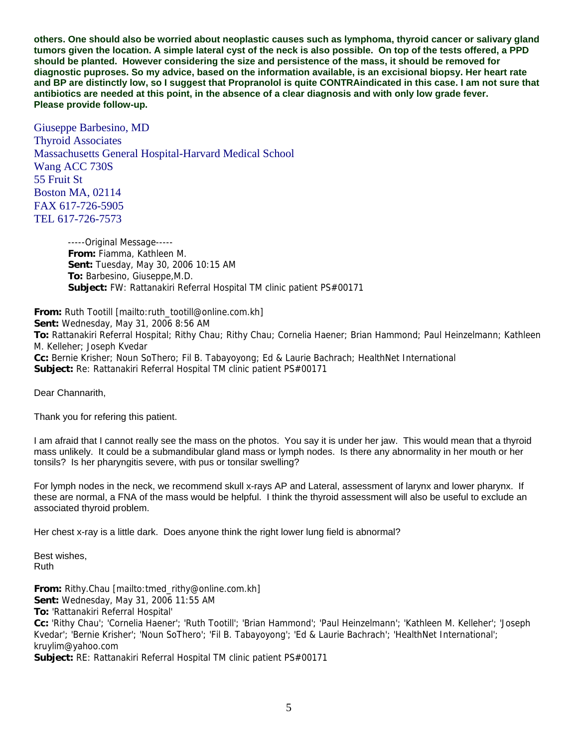**others. One should also be worried about neoplastic causes such as lymphoma, thyroid cancer or salivary gland tumors given the location. A simple lateral cyst of the neck is also possible. On top of the tests offered, a PPD should be planted. However considering the size and persistence of the mass, it should be removed for diagnostic puproses. So my advice, based on the information available, is an excisional biopsy. Her heart rate and BP are distinctly low, so I suggest that Propranolol is quite CONTRAindicated in this case. I am not sure that antibiotics are needed at this point, in the absence of a clear diagnosis and with only low grade fever. Please provide follow-up.** 

Giuseppe Barbesino, MD Thyroid Associates Massachusetts General Hospital-Harvard Medical School Wang ACC 730S 55 Fruit St Boston MA, 02114 FAX 617-726-5905 TEL 617-726-7573

> -----Original Message----- **From:** Fiamma, Kathleen M. **Sent:** Tuesday, May 30, 2006 10:15 AM **To:** Barbesino, Giuseppe,M.D. **Subject:** FW: Rattanakiri Referral Hospital TM clinic patient PS#00171

**From:** Ruth Tootill [mailto:ruth\_tootill@online.com.kh] **Sent:** Wednesday, May 31, 2006 8:56 AM **To:** Rattanakiri Referral Hospital; Rithy Chau; Rithy Chau; Cornelia Haener; Brian Hammond; Paul Heinzelmann; Kathleen M. Kelleher; Joseph Kvedar **Cc:** Bernie Krisher; Noun SoThero; Fil B. Tabayoyong; Ed & Laurie Bachrach; HealthNet International **Subject:** Re: Rattanakiri Referral Hospital TM clinic patient PS#00171

Dear Channarith,

Thank you for refering this patient.

I am afraid that I cannot really see the mass on the photos. You say it is under her jaw. This would mean that a thyroid mass unlikely. It could be a submandibular gland mass or lymph nodes. Is there any abnormality in her mouth or her tonsils? Is her pharyngitis severe, with pus or tonsilar swelling?

For lymph nodes in the neck, we recommend skull x-rays AP and Lateral, assessment of larynx and lower pharynx. If these are normal, a FNA of the mass would be helpful. I think the thyroid assessment will also be useful to exclude an associated thyroid problem.

Her chest x-ray is a little dark. Does anyone think the right lower lung field is abnormal?

Best wishes, Ruth

**From:** Rithy.Chau [mailto:tmed\_rithy@online.com.kh] **Sent:** Wednesday, May 31, 2006 11:55 AM **To:** 'Rattanakiri Referral Hospital' **Cc:** 'Rithy Chau'; 'Cornelia Haener'; 'Ruth Tootill'; 'Brian Hammond'; 'Paul Heinzelmann'; 'Kathleen M. Kelleher'; 'Joseph Kvedar'; 'Bernie Krisher'; 'Noun SoThero'; 'Fil B. Tabayoyong'; 'Ed & Laurie Bachrach'; 'HealthNet International'; kruylim@yahoo.com

**Subject:** RE: Rattanakiri Referral Hospital TM clinic patient PS#00171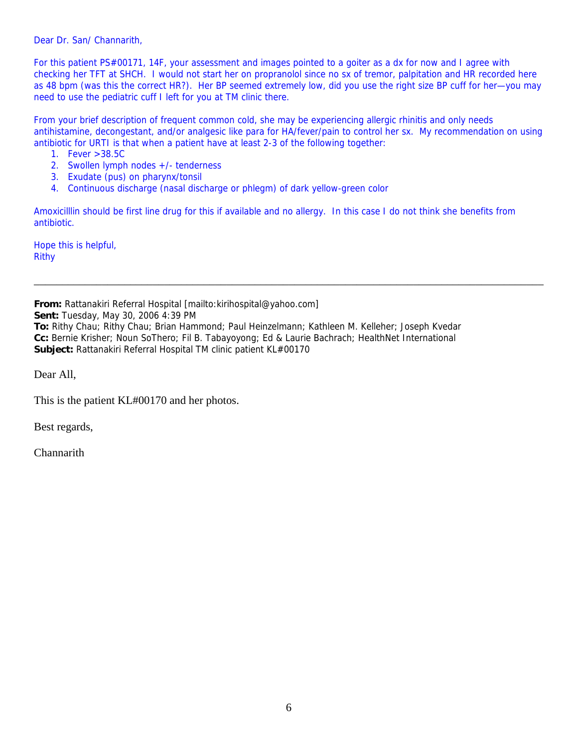Dear Dr. San/ Channarith,

For this patient PS#00171, 14F, your assessment and images pointed to a goiter as a dx for now and I agree with checking her TFT at SHCH. I would not start her on propranolol since no sx of tremor, palpitation and HR recorded here as 48 bpm (was this the correct HR?). Her BP seemed extremely low, did you use the right size BP cuff for her—you may need to use the pediatric cuff I left for you at TM clinic there.

From your brief description of frequent common cold, she may be experiencing allergic rhinitis and only needs antihistamine, decongestant, and/or analgesic like para for HA/fever/pain to control her sx. My recommendation on using antibiotic for URTI is that when a patient have at least 2-3 of the following together:

- 1. Fever >38.5C
- 2. Swollen lymph nodes +/- tenderness
- 3. Exudate (pus) on pharynx/tonsil
- 4. Continuous discharge (nasal discharge or phlegm) of dark yellow-green color

Amoxicilllin should be first line drug for this if available and no allergy. In this case I do not think she benefits from antibiotic.

\_\_\_\_\_\_\_\_\_\_\_\_\_\_\_\_\_\_\_\_\_\_\_\_\_\_\_\_\_\_\_\_\_\_\_\_\_\_\_\_\_\_\_\_\_\_\_\_\_\_\_\_\_\_\_\_\_\_\_\_\_\_\_\_\_\_\_\_\_\_\_\_\_\_\_\_\_\_\_\_\_\_\_\_\_\_\_\_\_\_

Hope this is helpful, Rithy

**From:** Rattanakiri Referral Hospital [mailto:kirihospital@yahoo.com]

**Sent:** Tuesday, May 30, 2006 4:39 PM

**To:** Rithy Chau; Rithy Chau; Brian Hammond; Paul Heinzelmann; Kathleen M. Kelleher; Joseph Kvedar **Cc:** Bernie Krisher; Noun SoThero; Fil B. Tabayoyong; Ed & Laurie Bachrach; HealthNet International **Subject:** Rattanakiri Referral Hospital TM clinic patient KL#00170

Dear All,

This is the patient KL#00170 and her photos.

Best regards,

Channarith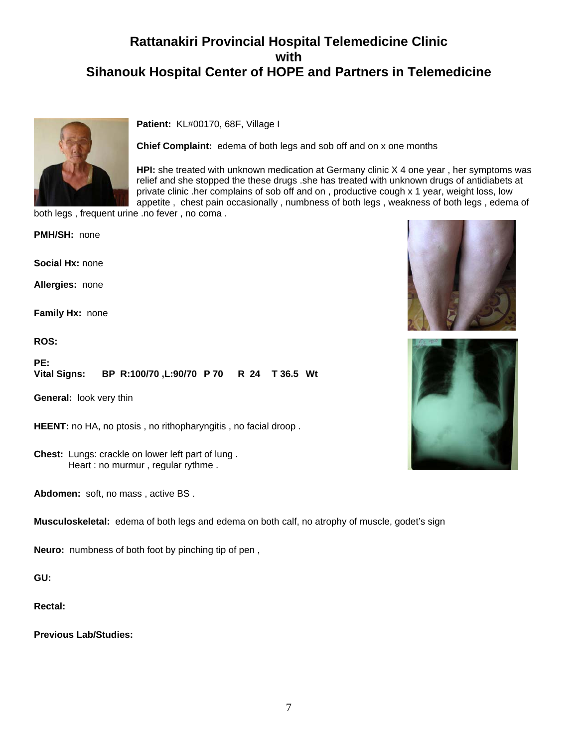## **Rattanakiri Provincial Hospital Telemedicine Clinic with Sihanouk Hospital Center of HOPE and Partners in Telemedicine**



**Patient:** KL#00170, 68F, Village I

**Chief Complaint:** edema of both legs and sob off and on x one months

**HPI:** she treated with unknown medication at Germany clinic X 4 one year , her symptoms was relief and she stopped the these drugs .she has treated with unknown drugs of antidiabets at private clinic .her complains of sob off and on , productive cough x 1 year, weight loss, low appetite , chest pain occasionally , numbness of both legs , weakness of both legs , edema of

both legs , frequent urine .no fever , no coma .

**PMH/SH:** none

**Social Hx:** none

**Allergies:** none

**Family Hx:** none

**ROS:**

**PE: Vital Signs: BP R:100/70 ,L:90/70 P 70 R 24 T 36.5 Wt**

**General:** look very thin

**HEENT:** no HA, no ptosis , no rithopharyngitis , no facial droop .

**Chest:** Lungs: crackle on lower left part of lung . Heart : no murmur , regular rythme .

**Abdomen:** soft, no mass , active BS .

**Musculoskeletal:** edema of both legs and edema on both calf, no atrophy of muscle, godet's sign

**Neuro:** numbness of both foot by pinching tip of pen ,

**GU:**

**Rectal:**

**Previous Lab/Studies:**



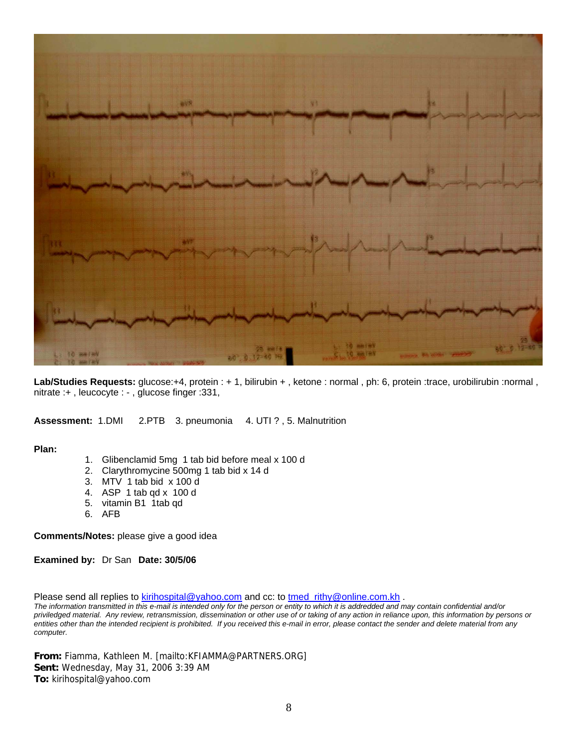

**Lab/Studies Requests:** glucose:+4, protein : + 1, bilirubin + , ketone : normal , ph: 6, protein :trace, urobilirubin :normal , nitrate :+ , leucocyte : - , glucose finger :331,

**Assessment:** 1.DMI 2.PTB 3. pneumonia 4. UTI ? , 5. Malnutrition

**Plan:**

- 1. Glibenclamid 5mg 1 tab bid before meal x 100 d
- 2. Clarythromycine 500mg 1 tab bid x 14 d
- 3. MTV 1 tab bid x 100 d
- 4. ASP 1 tab qd x 100 d
- 5. vitamin B1 1tab qd
- 6. AFB

**Comments/Notes:** please give a good idea

**Examined by:** Dr San **Date: 30/5/06**

Please send all replies to [kirihospital@yahoo.com](mailto:kirihospital@yahoo.com) and cc: to [tmed\\_rithy@online.com.kh](mailto:tmed_rithy@bigpond.com.kh) .

*The information transmitted in this e-mail is intended only for the person or entity to which it is addredded and may contain confidential and/or priviledged material. Any review, retransmission, dissemination or other use of or taking of any action in reliance upon, this information by persons or entities other than the intended recipient is prohibited. If you received this e-mail in error, please contact the sender and delete material from any computer.*

**From:** Fiamma, Kathleen M. [mailto:KFIAMMA@PARTNERS.ORG] **Sent:** Wednesday, May 31, 2006 3:39 AM **To:** kirihospital@yahoo.com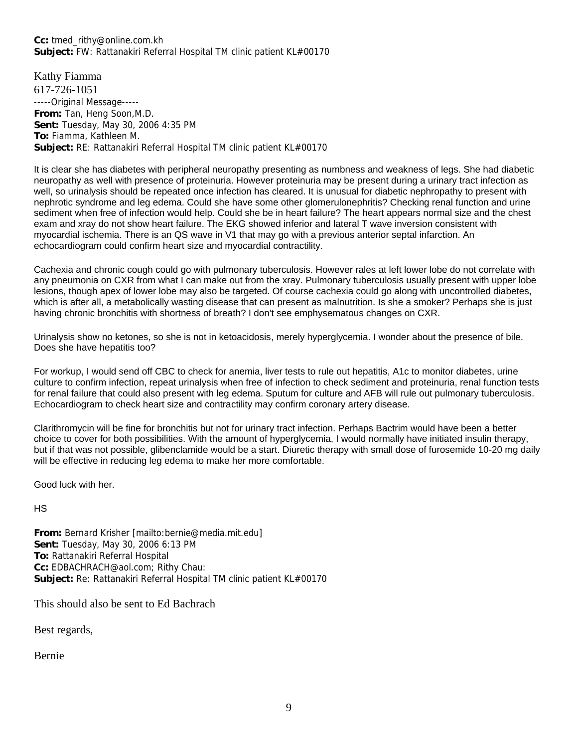#### **Cc:** tmed\_rithy@online.com.kh **Subject:** FW: Rattanakiri Referral Hospital TM clinic patient KL#00170

Kathy Fiamma 617-726-1051 -----Original Message----- **From:** Tan, Heng Soon,M.D. **Sent:** Tuesday, May 30, 2006 4:35 PM **To:** Fiamma, Kathleen M. **Subject:** RE: Rattanakiri Referral Hospital TM clinic patient KL#00170

It is clear she has diabetes with peripheral neuropathy presenting as numbness and weakness of legs. She had diabetic neuropathy as well with presence of proteinuria. However proteinuria may be present during a urinary tract infection as well, so urinalysis should be repeated once infection has cleared. It is unusual for diabetic nephropathy to present with nephrotic syndrome and leg edema. Could she have some other glomerulonephritis? Checking renal function and urine sediment when free of infection would help. Could she be in heart failure? The heart appears normal size and the chest exam and xray do not show heart failure. The EKG showed inferior and lateral T wave inversion consistent with myocardial ischemia. There is an QS wave in V1 that may go with a previous anterior septal infarction. An echocardiogram could confirm heart size and myocardial contractility.

Cachexia and chronic cough could go with pulmonary tuberculosis. However rales at left lower lobe do not correlate with any pneumonia on CXR from what I can make out from the xray. Pulmonary tuberculosis usually present with upper lobe lesions, though apex of lower lobe may also be targeted. Of course cachexia could go along with uncontrolled diabetes, which is after all, a metabolically wasting disease that can present as malnutrition. Is she a smoker? Perhaps she is just having chronic bronchitis with shortness of breath? I don't see emphysematous changes on CXR.

Urinalysis show no ketones, so she is not in ketoacidosis, merely hyperglycemia. I wonder about the presence of bile. Does she have hepatitis too?

For workup, I would send off CBC to check for anemia, liver tests to rule out hepatitis, A1c to monitor diabetes, urine culture to confirm infection, repeat urinalysis when free of infection to check sediment and proteinuria, renal function tests for renal failure that could also present with leg edema. Sputum for culture and AFB will rule out pulmonary tuberculosis. Echocardiogram to check heart size and contractility may confirm coronary artery disease.

Clarithromycin will be fine for bronchitis but not for urinary tract infection. Perhaps Bactrim would have been a better choice to cover for both possibilities. With the amount of hyperglycemia, I would normally have initiated insulin therapy, but if that was not possible, glibenclamide would be a start. Diuretic therapy with small dose of furosemide 10-20 mg daily will be effective in reducing leg edema to make her more comfortable.

Good luck with her.

HS

**From:** Bernard Krisher [mailto:bernie@media.mit.edu] **Sent:** Tuesday, May 30, 2006 6:13 PM **To:** Rattanakiri Referral Hospital **Cc:** EDBACHRACH@aol.com; Rithy Chau: **Subject:** Re: Rattanakiri Referral Hospital TM clinic patient KL#00170

This should also be sent to Ed Bachrach

Best regards,

Bernie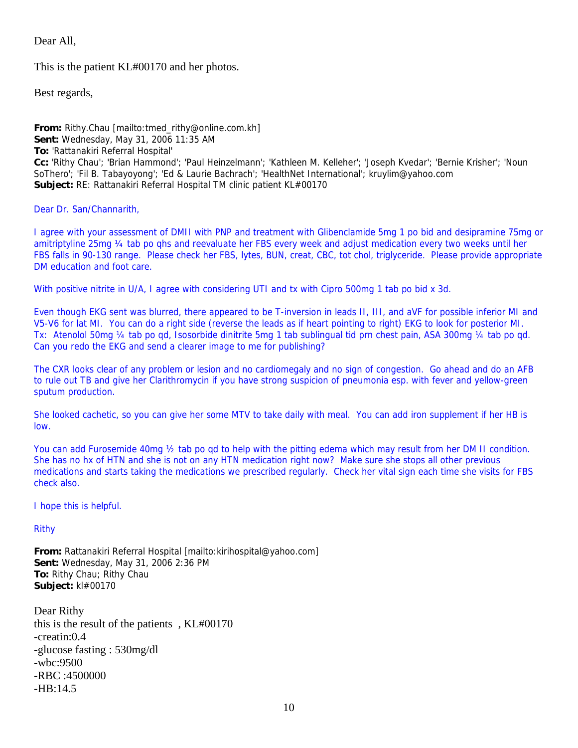Dear All,

This is the patient KL#00170 and her photos.

Best regards,

**From:** Rithy.Chau [mailto:tmed\_rithy@online.com.kh] **Sent:** Wednesday, May 31, 2006 11:35 AM **To:** 'Rattanakiri Referral Hospital' **Cc:** 'Rithy Chau'; 'Brian Hammond'; 'Paul Heinzelmann'; 'Kathleen M. Kelleher'; 'Joseph Kvedar'; 'Bernie Krisher'; 'Noun SoThero'; 'Fil B. Tabayoyong'; 'Ed & Laurie Bachrach'; 'HealthNet International'; kruylim@yahoo.com **Subject:** RE: Rattanakiri Referral Hospital TM clinic patient KL#00170

Dear Dr. San/Channarith,

I agree with your assessment of DMII with PNP and treatment with Glibenclamide 5mg 1 po bid and desipramine 75mg or amitriptyline 25mg ¼ tab po qhs and reevaluate her FBS every week and adjust medication every two weeks until her FBS falls in 90-130 range. Please check her FBS, lytes, BUN, creat, CBC, tot chol, triglyceride. Please provide appropriate DM education and foot care.

With positive nitrite in U/A, I agree with considering UTI and tx with Cipro 500mg 1 tab po bid x 3d.

Even though EKG sent was blurred, there appeared to be T-inversion in leads II, III, and aVF for possible inferior MI and V5-V6 for lat MI. You can do a right side (reverse the leads as if heart pointing to right) EKG to look for posterior MI. Tx: Atenolol 50mg ¼ tab po qd, Isosorbide dinitrite 5mg 1 tab sublingual tid prn chest pain, ASA 300mg ¼ tab po qd. Can you redo the EKG and send a clearer image to me for publishing?

The CXR looks clear of any problem or lesion and no cardiomegaly and no sign of congestion. Go ahead and do an AFB to rule out TB and give her Clarithromycin if you have strong suspicion of pneumonia esp. with fever and yellow-green sputum production.

She looked cachetic, so you can give her some MTV to take daily with meal. You can add iron supplement if her HB is low.

You can add Furosemide 40mg  $\frac{1}{2}$  tab po qd to help with the pitting edema which may result from her DM II condition. She has no hx of HTN and she is not on any HTN medication right now? Make sure she stops all other previous medications and starts taking the medications we prescribed regularly. Check her vital sign each time she visits for FBS check also.

I hope this is helpful.

Rithy

**From:** Rattanakiri Referral Hospital [mailto:kirihospital@yahoo.com] **Sent:** Wednesday, May 31, 2006 2:36 PM **To:** Rithy Chau; Rithy Chau **Subject:** kl#00170

Dear Rithy this is the result of the patients , KL#00170 -creatin:0.4 -glucose fasting : 530mg/dl -wbc:9500 -RBC :4500000  $-HR.14.5$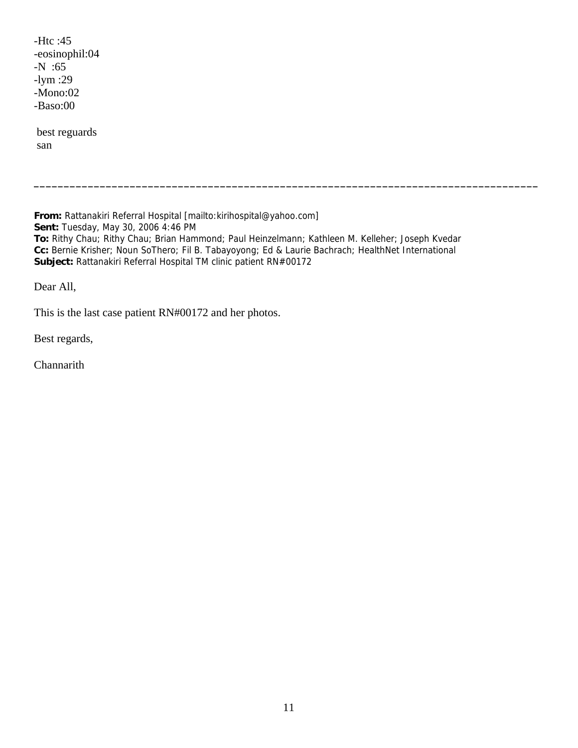-Htc :45 -eosinophil:04 -N :65 -lym :29 -Mono:02 -Baso:00

 best reguards san

**From:** Rattanakiri Referral Hospital [mailto:kirihospital@yahoo.com] **Sent:** Tuesday, May 30, 2006 4:46 PM **To:** Rithy Chau; Rithy Chau; Brian Hammond; Paul Heinzelmann; Kathleen M. Kelleher; Joseph Kvedar **Cc:** Bernie Krisher; Noun SoThero; Fil B. Tabayoyong; Ed & Laurie Bachrach; HealthNet International **Subject:** Rattanakiri Referral Hospital TM clinic patient RN#00172

**\_\_\_\_\_\_\_\_\_\_\_\_\_\_\_\_\_\_\_\_\_\_\_\_\_\_\_\_\_\_\_\_\_\_\_\_\_\_\_\_\_\_\_\_\_\_\_\_\_\_\_\_\_\_\_\_\_\_\_\_\_\_\_\_\_\_\_\_\_\_\_\_\_\_\_\_\_\_\_\_\_\_\_\_** 

Dear All,

This is the last case patient RN#00172 and her photos.

Best regards,

Channarith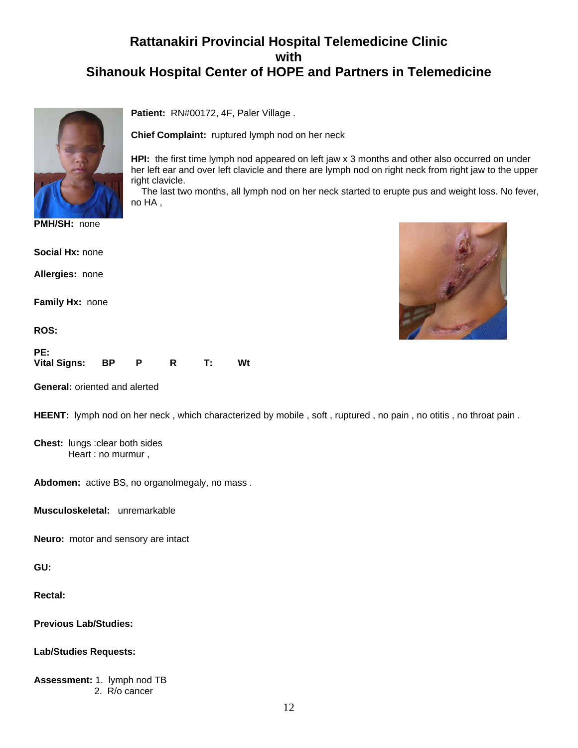## **Rattanakiri Provincial Hospital Telemedicine Clinic with Sihanouk Hospital Center of HOPE and Partners in Telemedicine**

**HPI:** the first time lymph nod appeared on left jaw x 3 months and other also occurred on under her left ear and over left clavicle and there are lymph nod on right neck from right jaw to the upper

The last two months, all lymph nod on her neck started to erupte pus and weight loss. No fever,

**Patient:** RN#00172, 4F, Paler Village .

**Chief Complaint:** ruptured lymph nod on her neck



**PMH/SH:** none

**Social Hx:** none

**Allergies:** none

**Family Hx:** none

**ROS:**

| PE:             |  |      |    |
|-----------------|--|------|----|
| Vital Signs: BP |  | - T: | Wt |

right clavicle.

no HA ,

**General:** oriented and alerted

HEENT: lymph nod on her neck, which characterized by mobile, soft, ruptured, no pain, no otitis, no throat pain.

**Chest:** lungs :clear both sides Heart : no murmur ,

**Abdomen:** active BS, no organolmegaly, no mass .

**Musculoskeletal:** unremarkable

**Neuro:** motor and sensory are intact

**GU:**

**Rectal:**

**Previous Lab/Studies:**

**Lab/Studies Requests:**

**Assessment:** 1. lymph nod TB 2. R/o cancer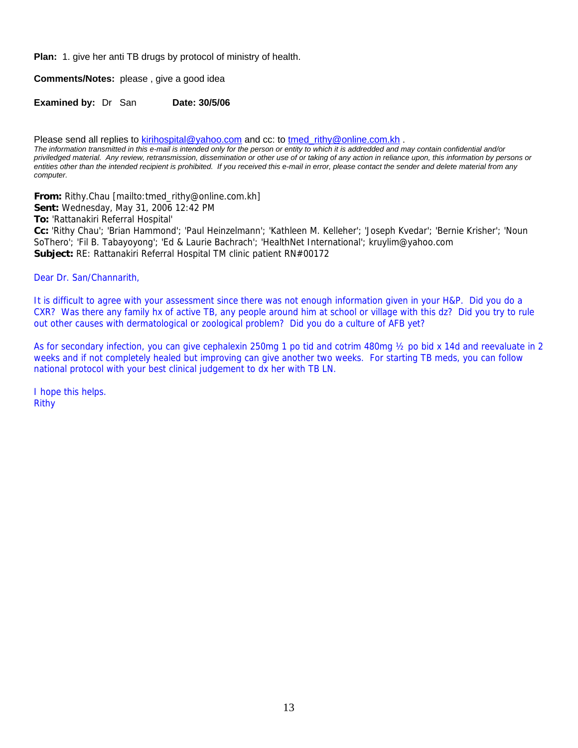**Plan:** 1. give her anti TB drugs by protocol of ministry of health.

**Comments/Notes:** please , give a good idea

**Examined by: Dr San Date: 30/5/06** 

Please send all replies to [kirihospital@yahoo.com](mailto:kirihospital@yahoo.com) and cc: to [tmed\\_rithy@online.com.kh](mailto:tmed_rithy@bigpond.com.kh) .

*The information transmitted in this e-mail is intended only for the person or entity to which it is addredded and may contain confidential and/or priviledged material. Any review, retransmission, dissemination or other use of or taking of any action in reliance upon, this information by persons or entities other than the intended recipient is prohibited. If you received this e-mail in error, please contact the sender and delete material from any computer.*

**From:** Rithy.Chau [mailto:tmed\_rithy@online.com.kh]

**Sent:** Wednesday, May 31, 2006 12:42 PM

**To:** 'Rattanakiri Referral Hospital'

**Cc:** 'Rithy Chau'; 'Brian Hammond'; 'Paul Heinzelmann'; 'Kathleen M. Kelleher'; 'Joseph Kvedar'; 'Bernie Krisher'; 'Noun SoThero'; 'Fil B. Tabayoyong'; 'Ed & Laurie Bachrach'; 'HealthNet International'; kruylim@yahoo.com **Subject:** RE: Rattanakiri Referral Hospital TM clinic patient RN#00172

Dear Dr. San/Channarith,

It is difficult to agree with your assessment since there was not enough information given in your H&P. Did you do a CXR? Was there any family hx of active TB, any people around him at school or village with this dz? Did you try to rule out other causes with dermatological or zoological problem? Did you do a culture of AFB yet?

As for secondary infection, you can give cephalexin 250mg 1 po tid and cotrim 480mg ½ po bid x 14d and reevaluate in 2 weeks and if not completely healed but improving can give another two weeks. For starting TB meds, you can follow national protocol with your best clinical judgement to dx her with TB LN.

I hope this helps. Rithy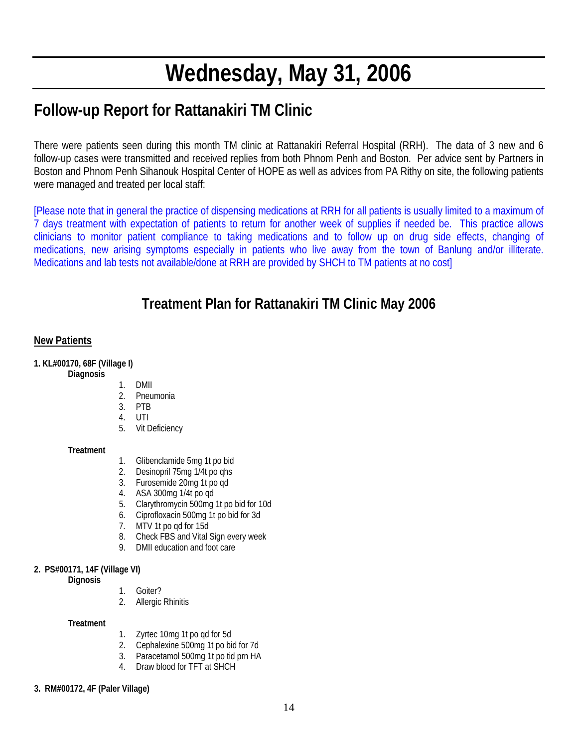# **Wednesday, May 31, 2006**

# **Follow-up Report for Rattanakiri TM Clinic**

There were patients seen during this month TM clinic at Rattanakiri Referral Hospital (RRH). The data of 3 new and 6 follow-up cases were transmitted and received replies from both Phnom Penh and Boston. Per advice sent by Partners in Boston and Phnom Penh Sihanouk Hospital Center of HOPE as well as advices from PA Rithy on site, the following patients were managed and treated per local staff:

[Please note that in general the practice of dispensing medications at RRH for all patients is usually limited to a maximum of 7 days treatment with expectation of patients to return for another week of supplies if needed be. This practice allows clinicians to monitor patient compliance to taking medications and to follow up on drug side effects, changing of medications, new arising symptoms especially in patients who live away from the town of Banlung and/or illiterate. Medications and lab tests not available/done at RRH are provided by SHCH to TM patients at no cost]

## **Treatment Plan for Rattanakiri TM Clinic May 2006**

#### **New Patients**

**1. KL#00170, 68F (Village I)** 

- **Diagnosis**
- 1. DMII
- 2. Pneumonia
- 3. PTB
- 4. UTI
- 5. Vit Deficiency

#### **Treatment**

- 1. Glibenclamide 5mg 1t po bid
- 2. Desinopril 75mg 1/4t po qhs<br>3. Furosemide 20mg 1t po qd
- 3. Furosemide 20mg 1t po qd
- 4. ASA 300mg 1/4t po qd
- 5. Clarythromycin 500mg 1t po bid for 10d
- 6. Ciprofloxacin 500mg 1t po bid for 3d
- 7. MTV 1t po qd for 15d
- 8. Check FBS and Vital Sign every week
- 9. DMII education and foot care

#### **2. PS#00171, 14F (Village VI)**

 **Dignosis** 

- 1. Goiter?
	- 2. Allergic Rhinitis

**Treatment** 

- 1. Zyrtec 10mg 1t po qd for 5d
- 2. Cephalexine 500mg 1t po bid for 7d
- 3. Paracetamol 500mg 1t po tid prn HA
- 4. Draw blood for TFT at SHCH
- **3. RM#00172, 4F (Paler Village)**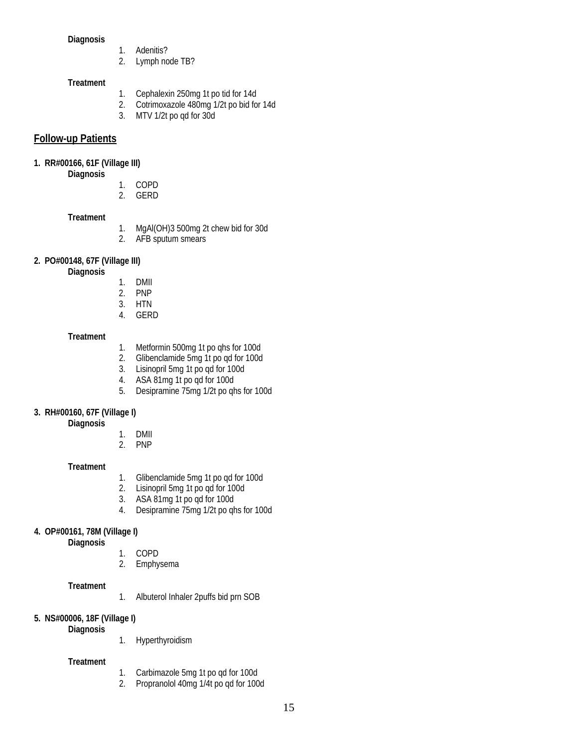#### **Diagnosis**

- 1. Adenitis?
- 2. Lymph node TB?

#### **Treatment**

- 1. Cephalexin 250mg 1t po tid for 14d<br>2. Cotrimoxazole 480mg 1/2t po bid fo
- 2. Cotrimoxazole 480mg 1/2t po bid for 14d
- 3. MTV 1/2t po qd for 30d

#### **Follow-up Patients**

#### **1. RR#00166, 61F (Village III)**

 **Diagnosis** 

- 1. COPD
- 2. GERD

#### **Treatment**

- 1. MgAl(OH)3 500mg 2t chew bid for 30d
- 2. AFB sputum smears

#### **2. PO#00148, 67F (Village III)**

 **Diagnosis** 

- 1. DMII
- 2. PNP
- 3. HTN
- 4. GERD

#### **Treatment**

- 1. Metformin 500mg 1t po qhs for 100d
- 2. Glibenclamide 5mg 1t po qd for 100d
- 3. Lisinopril 5mg 1t po qd for 100d
- 4. ASA 81mg 1t po qd for 100d
- 5. Desipramine 75mg 1/2t po qhs for 100d

#### **3. RH#00160, 67F (Village I)**

 **Diagnosis** 

- 1. DMII
- 2. PNP

#### **Treatment**

- 1. Glibenclamide 5mg 1t po qd for 100d<br>2. Lisinopril 5mg 1t po qd for 100d
- 2. Lisinopril 5mg 1t po qd for 100d<br>3. ASA 81mg 1t po qd for 100d
- 3. ASA 81mg 1t po qd for 100d
- 4. Desipramine 75mg 1/2t po qhs for 100d

#### **4. OP#00161, 78M (Village I)**

 **Diagnosis** 

- 1. COPD
- 2. Emphysema

#### **Treatment**

1. Albuterol Inhaler 2puffs bid prn SOB

#### **5. NS#00006, 18F (Village I)**

 **Diagnosis** 

1. Hyperthyroidism

#### **Treatment**

- 1. Carbimazole 5mg 1t po qd for 100d
- 2. Propranolol 40mg 1/4t po qd for 100d